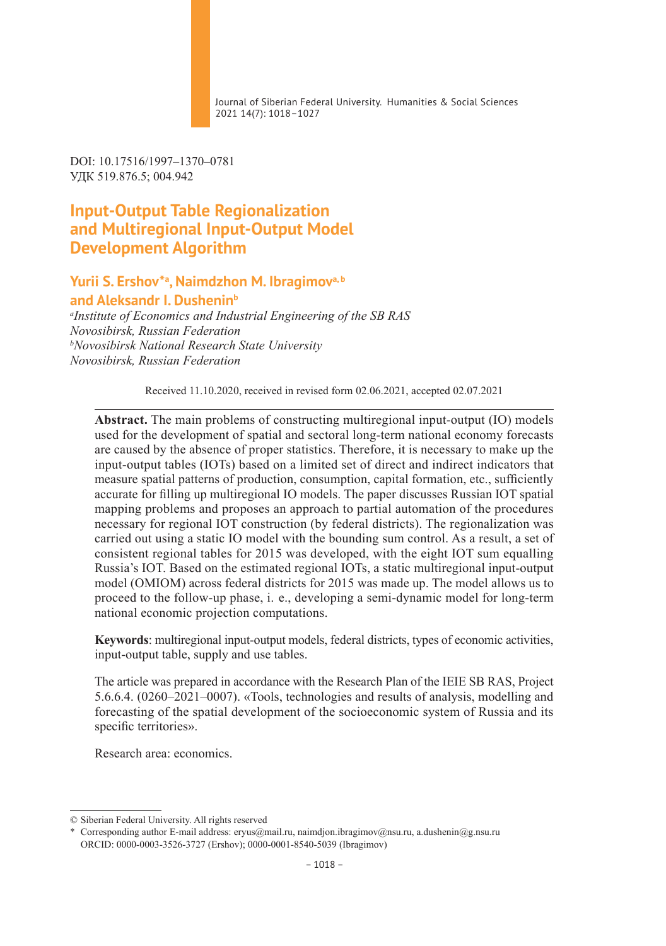Journal of Siberian Federal University. Humanities & Social Sciences 2021 14(7): 1018–1027

DOI: 10.17516/1997–1370–0781 УДК 519.876.5; 004.942

# **Input-Output Table Regionalization and Multiregional Input-Output Model Development Algorithm**

## **Yurii S. Ershov\*a , Naimdzhon M. Ibragimova, b and Aleksandr I. Dushenin<sup>b</sup>**

*a Institute of Economics and Industrial Engineering of the SB RAS Novosibirsk, Russian Federation b Novosibirsk National Research State University Novosibirsk, Russian Federation*

Received 11.10.2020, received in revised form 02.06.2021, accepted 02.07.2021

**Abstract.** The main problems of constructing multiregional input-output (IO) models used for the development of spatial and sectoral long-term national economy forecasts are caused by the absence of proper statistics. Therefore, it is necessary to make up the input-output tables (IOTs) based on a limited set of direct and indirect indicators that measure spatial patterns of production, consumption, capital formation, etc., sufficiently accurate for filling up multiregional IO models. The paper discusses Russian IOT spatial mapping problems and proposes an approach to partial automation of the procedures necessary for regional IOT construction (by federal districts). The regionalization was carried out using a static IO model with the bounding sum control. As a result, a set of consistent regional tables for 2015 was developed, with the eight IOT sum equalling Russia's IOT. Based on the estimated regional IOTs, a static multiregional input-output model (OMIOM) across federal districts for 2015 was made up. The model allows us to proceed to the follow-up phase, i. e., developing a semi-dynamic model for long-term national economic projection computations.

**Keywords**: multiregional input-output models, federal districts, types of economic activities, input-output table, supply and use tables.

The article was prepared in accordance with the Research Plan of the IEIE SB RAS, Project 5.6.6.4. (0260–2021–0007). «Tools, technologies and results of analysis, modelling and forecasting of the spatial development of the socioeconomic system of Russia and its specific territories».

Research area: economics.

<sup>©</sup> Siberian Federal University. All rights reserved

<sup>\*</sup> Corresponding author E-mail address: eryus@mail.ru, naimdjon.ibragimov@nsu.ru, a.dushenin@g.nsu.ru ORCID: 0000-0003-3526-3727 (Ershov); 0000-0001-8540-5039 (Ibragimov)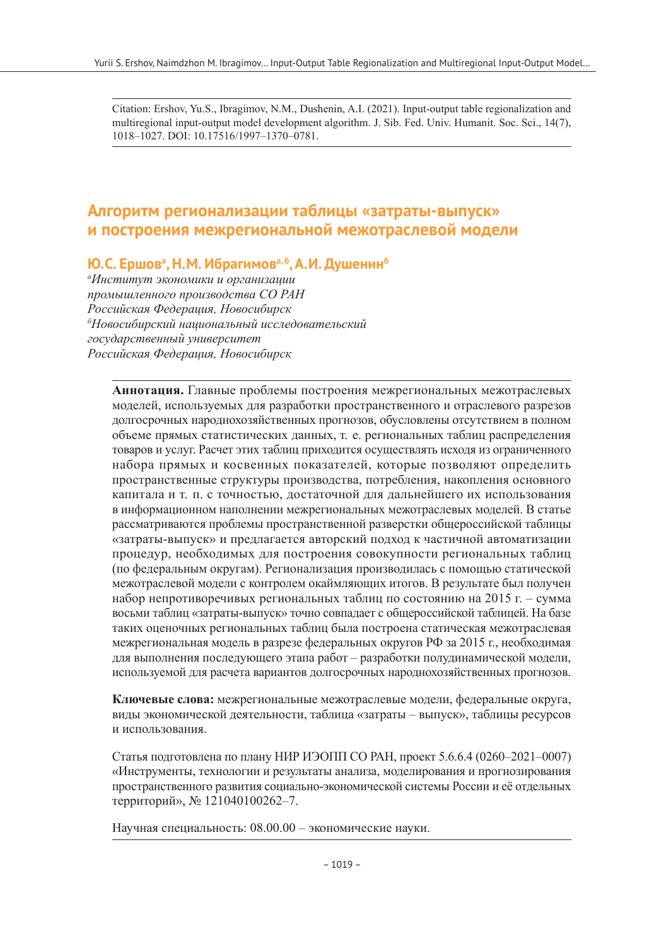Citation: Ershov, Yu.S., Ibragimov, N.M., Dushenin, A.I. (2021). Input-output table regionalization and multiregional input-output model development algorithm. J. Sib. Fed. Univ. Humanit. Soc. Sci., 14(7), 1018–1027. DOI: 10.17516/1997–1370–0781.

# **Алгоритм регионализации таблицы «затраты-выпуск» и построения межрегиональной межотраслевой модели**

**Ю.С. Ершова , Н.М. Ибрагимова, б, А.И.Душенинб**

*а Институт экономики и организации промышленного производства СО РАН Российская Федерация, Новосибирск б Новосибирский национальный исследовательский государственный университет Российская Федерация, Новосибирск*

**Аннотация.** Главные проблемы построения межрегиональных межотраслевых моделей, используемых для разработки пространственного и отраслевого разрезов долгосрочных народнохозяйственных прогнозов, обусловлены отсутствием в полном объеме прямых статистических данных, т. е. региональных таблиц распределения товаров и услуг. Расчет этих таблиц приходится осуществлять исходя из ограниченного набора прямых и косвенных показателей, которые позволяют определить пространственные структуры производства, потребления, накопления основного капитала и т. п. с точностью, достаточной для дальнейшего их использования в информационном наполнении межрегиональных межотраслевых моделей. В статье рассматриваются проблемы пространственной разверстки общероссийской таблицы «затраты-выпуск» и предлагается авторский подход к частичной автоматизации процедур, необходимых для построения совокупности региональных таблиц (по федеральным округам). Регионализация производилась с помощью статической межотраслевой модели с контролем окаймляющих итогов. В результате был получен набор непротиворечивых региональных таблиц по состоянию на 2015 г. – сумма восьми таблиц «затраты-выпуск» точно совпадает с общероссийской таблицей. На базе таких оценочных региональных таблиц была построена статическая межотраслевая межрегиональная модель в разрезе федеральных округов РФ за 2015 г., необходимая для выполнения последующего этапа работ – разработки полудинамической модели, используемой для расчета вариантов долгосрочных народнохозяйственных прогнозов.

**Ключевые слова:** межрегиональные межотраслевые модели, федеральные округа, виды экономической деятельности, таблица «затраты – выпуск», таблицы ресурсов и использования.

Статья подготовлена по плану НИР ИЭОПП СО РАН, проект 5.6.6.4 (0260–2021–0007) «Инструменты, технологии и результаты анализа, моделирования и прогнозирования пространственного развития социально-экономической системы России и её отдельных территорий», № 121040100262–7.

Научная специальность: 08.00.00 – экономические науки.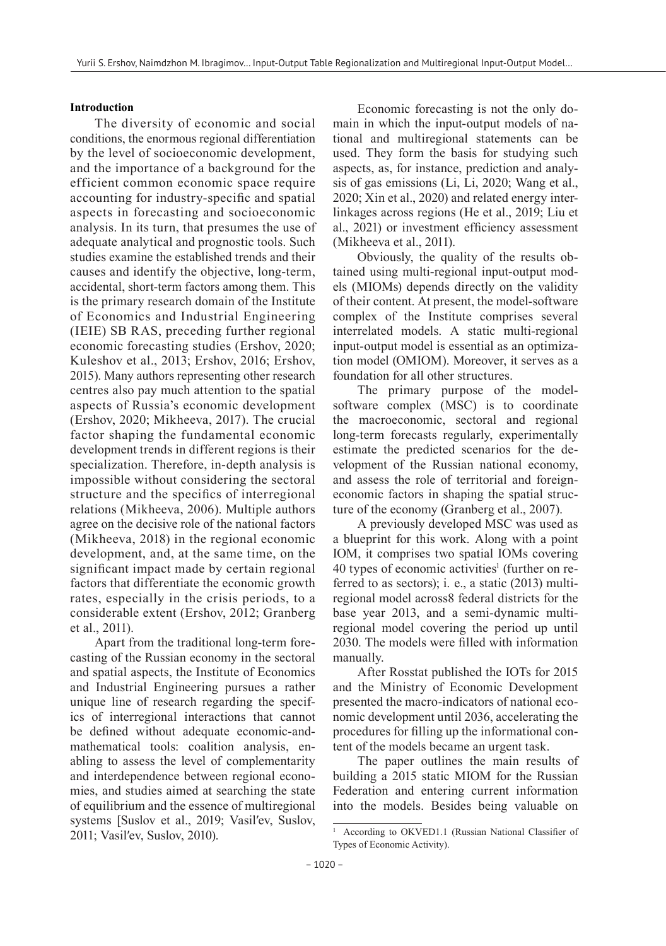### **Introduction**

The diversity of economic and social conditions, the enormous regional differentiation by the level of socioeconomic development, and the importance of a background for the efficient common economic space require accounting for industry-specific and spatial aspects in forecasting and socioeconomic analysis. In its turn, that presumes the use of adequate analytical and prognostic tools. Such studies examine the established trends and their causes and identify the objective, long-term, accidental, short-term factors among them. This is the primary research domain of the Institute of Economics and Industrial Engineering (IEIE) SB RAS, preceding further regional economic forecasting studies (Ershov, 2020; Kuleshov et al., 2013; Ershov, 2016; Ershov, 2015). Many authors representing other research centres also pay much attention to the spatial aspects of Russia's economic development (Ershov, 2020; Mikheeva, 2017). The crucial factor shaping the fundamental economic development trends in different regions is their specialization. Therefore, in-depth analysis is impossible without considering the sectoral structure and the specifics of interregional relations (Mikheeva, 2006). Multiple authors agree on the decisive role of the national factors (Mikheeva, 2018) in the regional economic development, and, at the same time, on the significant impact made by certain regional factors that differentiate the economic growth rates, especially in the crisis periods, to a considerable extent (Ershov, 2012; Granberg et al., 2011).

Apart from the traditional long-term forecasting of the Russian economy in the sectoral and spatial aspects, the Institute of Economics and Industrial Engineering pursues a rather unique line of research regarding the specifics of interregional interactions that cannot be defined without adequate economic-andmathematical tools: coalition analysis, enabling to assess the level of complementarity and interdependence between regional economies, and studies aimed at searching the state of equilibrium and the essence of multiregional systems [Suslov et al., 2019; Vasil′ev, Suslov, 2011; Vasil′ev, Suslov, 2010).

Economic forecasting is not the only domain in which the input-output models of national and multiregional statements can be used. They form the basis for studying such aspects, as, for instance, prediction and analysis of gas emissions (Li, Li, 2020; Wang et al., 2020; Xin et al., 2020) and related energy interlinkages across regions (He et al., 2019; Liu et al., 2021) or investment efficiency assessment (Mikheeva et al., 2011).

Obviously, the quality of the results obtained using multi-regional input-output models (MIOMs) depends directly on the validity of their content. At present, the model-software complex of the Institute comprises several interrelated models. A static multi-regional input-output model is essential as an optimization model (ОМIOМ). Moreover, it serves as a foundation for all other structures.

The primary purpose of the modelsoftware complex (MSC) is to coordinate the macroeconomic, sectoral and regional long-term forecasts regularly, experimentally estimate the predicted scenarios for the development of the Russian national economy, and assess the role of territorial and foreigneconomic factors in shaping the spatial structure of the economy (Granberg et al., 2007).

A previously developed MSC was used as a blueprint for this work. Along with a point IOM, it comprises two spatial IOMs covering  $40$  types of economic activities<sup>1</sup> (further on referred to as sectors); i. e., a static (2013) multiregional model across8 federal districts for the base year 2013, and a semi-dynamic multiregional model covering the period up until 2030. The models were filled with information manually.

After Rosstat published the IOTs for 2015 and the Ministry of Economic Development presented the macro-indicators of national economic development until 2036, accelerating the procedures for filling up the informational content of the models became an urgent task.

The paper outlines the main results of building a 2015 static MIOM for the Russian Federation and entering current information into the models. Besides being valuable on

According to OKVED1.1 (Russian National Classifier of Types of Economic Activity).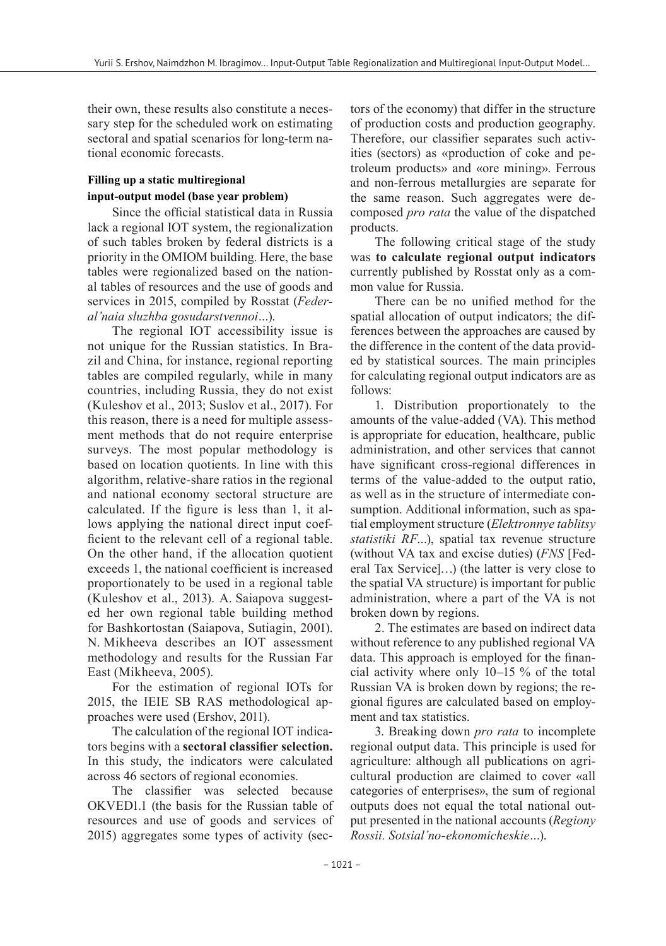their own, these results also constitute a necessary step for the scheduled work on estimating sectoral and spatial scenarios for long-term national economic forecasts.

## **Filling up a static multiregional input-output model (base year problem)**

Since the official statistical data in Russia lack a regional IOT system, the regionalization of such tables broken by federal districts is a priority in the OMIOM building. Here, the base tables were regionalized based on the national tables of resources and the use of goods and services in 2015, compiled by Rosstat (*Federal'naia sluzhba gosudarstvennoi…*).

The regional IOT accessibility issue is not unique for the Russian statistics. In Brazil and China, for instance, regional reporting tables are compiled regularly, while in many countries, including Russia, they do not exist (Kuleshov et al., 2013; Suslov et al., 2017). For this reason, there is a need for multiple assessment methods that do not require enterprise surveys. The most popular methodology is based on location quotients. In line with this algorithm, relative-share ratios in the regional and national economy sectoral structure are calculated. If the figure is less than 1, it allows applying the national direct input coefficient to the relevant cell of a regional table. On the other hand, if the allocation quotient exceeds 1, the national coefficient is increased proportionately to be used in a regional table (Kuleshov et al., 2013). А. Saiapova suggested her own regional table building method for Bashkortostan (Saiapova, Sutiagin, 2001). N. Mikheeva describes an IOT assessment methodology and results for the Russian Far East (Mikheeva, 2005).

For the estimation of regional IOTs for 2015, the IEIE SB RAS methodological approaches were used (Ershov, 2011).

The calculation of the regional IOT indicators begins with a **sectoral classifier selection.**  In this study, the indicators were calculated across 46 sectors of regional economies.

The classifier was selected because OKVED1.1 (the basis for the Russian table of resources and use of goods and services of 2015) aggregates some types of activity (sectors of the economy) that differ in the structure of production costs and production geography. Therefore, our classifier separates such activities (sectors) as «production of coke and petroleum products» and «ore mining». Ferrous and non-ferrous metallurgies are separate for the same reason. Such aggregates were decomposed *pro rata* the value of the dispatched products.

The following critical stage of the study was **to calculate regional output indicators** currently published by Rosstat only as a common value for Russia.

There can be no unified method for the spatial allocation of output indicators; the differences between the approaches are caused by the difference in the content of the data provided by statistical sources. The main principles for calculating regional output indicators are as follows:

1. Distribution proportionately to the amounts of the value-added (VA). This method is appropriate for education, healthcare, public administration, and other services that cannot have significant cross-regional differences in terms of the value-added to the output ratio, as well as in the structure of intermediate consumption. Additional information, such as spatial employment structure (*Elektronnye tablitsy statistiki RF…*), spatial tax revenue structure (without VA tax and excise duties) (*FNS* [Federal Tax Service]…) (the latter is very close to the spatial VA structure) is important for public administration, where a part of the VA is not broken down by regions.

2. The estimates are based on indirect data without reference to any published regional VA data. This approach is employed for the financial activity where only 10–15 % of the total Russian VA is broken down by regions; the regional figures are calculated based on employment and tax statistics.

3. Breaking down *pro rata* to incomplete regional output data. This principle is used for agriculture: although all publications on agricultural production are claimed to cover «all categories of enterprises», the sum of regional outputs does not equal the total national output presented in the national accounts (*Regiony Rossii. Sotsial'no-ekonomicheskie…*).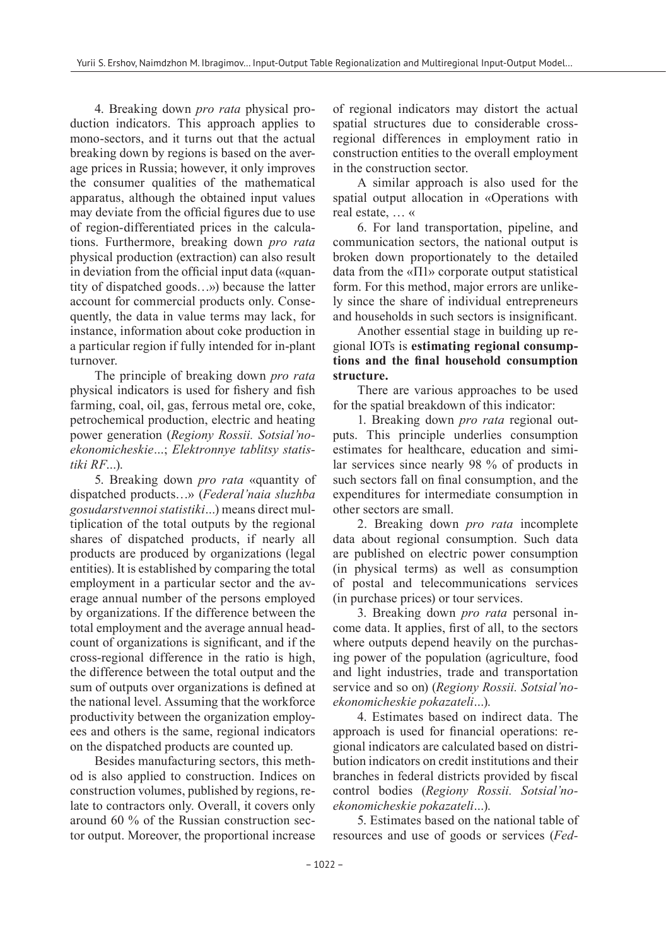4. Breaking down *pro rata* physical production indicators. This approach applies to mono-sectors, and it turns out that the actual breaking down by regions is based on the average prices in Russia; however, it only improves the consumer qualities of the mathematical apparatus, although the obtained input values may deviate from the official figures due to use of region-differentiated prices in the calculations. Furthermore, breaking down *pro rata* physical production (extraction) can also result in deviation from the official input data («quantity of dispatched goods…») because the latter account for commercial products only. Consequently, the data in value terms may lack, for instance, information about coke production in a particular region if fully intended for in-plant turnover.

The principle of breaking down *pro rata* physical indicators is used for fishery and fish farming, coal, oil, gas, ferrous metal ore, coke, petrochemical production, electric and heating power generation (*Regiony Rossii. Sotsial'noekonomicheskie…*; *Elektronnye tablitsy statistiki RF…*).

5. Breaking down *pro rata* «quantity of dispatched products…» (*Federal'naia sluzhba gosudarstvennoi statistiki…*) means direct multiplication of the total outputs by the regional shares of dispatched products, if nearly all products are produced by organizations (legal entities). It is established by comparing the total employment in a particular sector and the average annual number of the persons employed by organizations. If the difference between the total employment and the average annual headcount of organizations is significant, and if the cross-regional difference in the ratio is high, the difference between the total output and the sum of outputs over organizations is defined at the national level. Assuming that the workforce productivity between the organization employees and others is the same, regional indicators on the dispatched products are counted up.

Besides manufacturing sectors, this method is also applied to construction. Indices on construction volumes, published by regions, relate to contractors only. Overall, it covers only around 60 % of the Russian construction sector output. Moreover, the proportional increase of regional indicators may distort the actual spatial structures due to considerable crossregional differences in employment ratio in construction entities to the overall employment in the construction sector.

A similar approach is also used for the spatial output allocation in «Operations with real estate, … «

6. For land transportation, pipeline, and communication sectors, the national output is broken down proportionately to the detailed data from the « $\Pi$ 1» corporate output statistical form. For this method, major errors are unlikely since the share of individual entrepreneurs and households in such sectors is insignificant.

Another essential stage in building up regional IOTs is **estimating regional consumptions and the final household consumption structure.**

There are various approaches to be used for the spatial breakdown of this indicator:

1. Breaking down *pro rata* regional outputs. This principle underlies consumption estimates for healthcare, education and similar services since nearly 98 % of products in such sectors fall on final consumption, and the expenditures for intermediate consumption in other sectors are small.

2. Breaking down *pro rata* incomplete data about regional consumption. Such data are published on electric power consumption (in physical terms) as well as consumption of postal and telecommunications services (in purchase prices) or tour services.

3. Breaking down *pro rata* personal income data. It applies, first of all, to the sectors where outputs depend heavily on the purchasing power of the population (agriculture, food and light industries, trade and transportation service and so on) (*Regiony Rossii. Sotsial'noekonomicheskie pokazateli…*).

4. Estimates based on indirect data. The approach is used for financial operations: regional indicators are calculated based on distribution indicators on credit institutions and their branches in federal districts provided by fiscal control bodies (*Regiony Rossii. Sotsial'noekonomicheskie pokazateli…*).

5. Estimates based on the national table of resources and use of goods or services (*Fed-*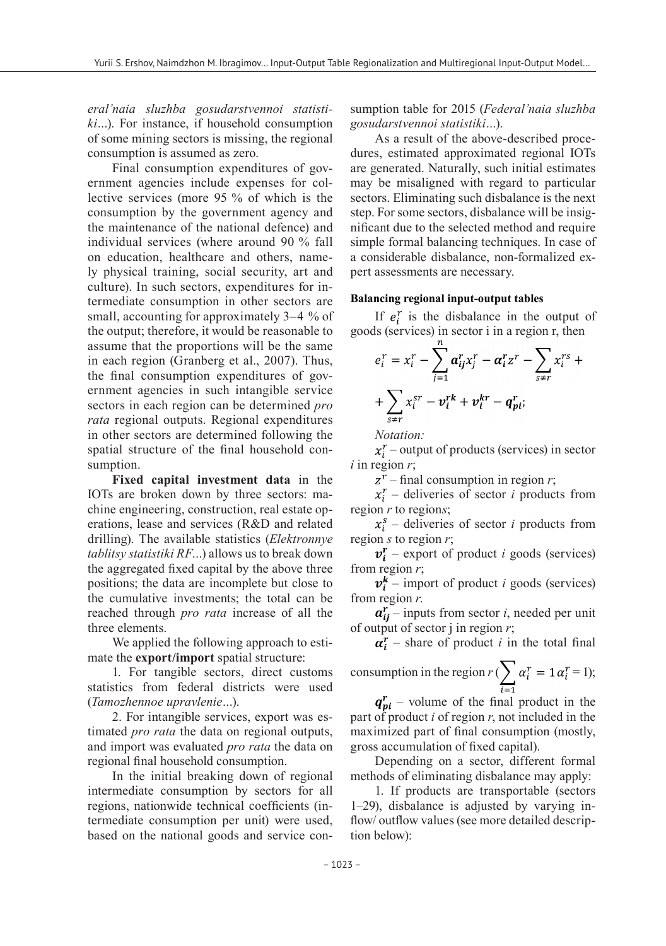*eral'naia sluzhba gosudarstvennoi statistiki…*). For instance, if household consumption of some mining sectors is missing, the regional consumption is assumed as zero.

Final consumption expenditures of government agencies include expenses for collective services (more 95 % of which is the consumption by the government agency and the maintenance of the national defence) and individual services (where around 90 % fall on education, healthcare and others, namely physical training, social security, art and culture). In such sectors, expenditures for intermediate consumption in other sectors are small, accounting for approximately 3–4 % of the output; therefore, it would be reasonable to assume that the proportions will be the same in each region (Granberg et al., 2007). Thus, the final consumption expenditures of government agencies in such intangible service sectors in each region can be determined *pro rata* regional outputs. Regional expenditures in other sectors are determined following the spatial structure of the final household consumption.

**Fixed capital investment data** in the IOTs are broken down by three sectors: machine engineering, construction, real estate operations, lease and services (R&D and related drilling). The available statistics (*Elektronnye tablitsy statistiki RF…*) allows us to break down the aggregated fixed capital by the above three positions; the data are incomplete but close to the cumulative investments; the total can be reached through *pro rata* increase of all the three elements.

We applied the following approach to estimate the **export/import** spatial structure:

1. For tangible sectors, direct customs statistics from federal districts were used (*Tamozhennoe upravlenie…*).

2. For intangible services, export was estimated *pro rata* the data on regional outputs, and import was evaluated *pro rata* the data on regional final household consumption.

In the initial breaking down of regional intermediate consumption by sectors for all regions, nationwide technical coefficients (intermediate consumption per unit) were used, based on the national goods and service con-

sumption table for 2015 (*Federal'naia sluzhba gosudarstvennoi statistiki…*).

As a result of the above-described procedures, estimated approximated regional IOTs are generated. Naturally, such initial estimates may be misaligned with regard to particular sectors. Eliminating such disbalance is the next step. For some sectors, disbalance will be insignificant due to the selected method and require simple formal balancing techniques. In case of a considerable disbalance, non-formalized expert assessments are necessary.

### **Balancing regional input-output tables**

If  $e_i^r$  is the disbalance in the output of goods (services) in sector i in a region r, then

$$
e_i^r = x_i^r - \sum_{j=1}^n a_{ij}^r x_j^r - \alpha_i^r z^r - \sum_{s \neq r} x_i^{rs} + \sum_{s \neq r} x_i^{sr} - \nu_i^{rk} + \nu_i^{kr} - \mathbf{q}_{pi}^r;
$$

*Notation:*

 $x_i^r$  – output of products (services) in sector *i* in region *r*;

 $z^r$  – final consumption in region *r*;

 $x_i^r$  – deliveries of sector *i* products from region *r* to region*s*;

 $x_i^s$  – deliveries of sector *i* products from region *s* to region *r*;

 $v_i^r$  – export of product *i* goods (services) from region *r*;

 $v_i^k$  – import of product *i* goods (services) from region *r*.

 $a_{ii}^r$  – inputs from sector *i*, needed per unit of output of sector j in region *r*;

 $\alpha_i^r$  – share of product *i* in the total final

consumption in the region 
$$
r \left( \sum_{i=1} \alpha_i^r = 1 \alpha_i^r = 1 \right);
$$

 $q_{pi}^{r}$  – volume of the final product in the part of product *i* of region *r*, not included in the maximized part of final consumption (mostly, gross accumulation of fixed capital).

Depending on a sector, different formal methods of eliminating disbalance may apply:

1. If products are transportable (sectors 1–29), disbalance is adjusted by varying inflow/ outflow values (see more detailed description below):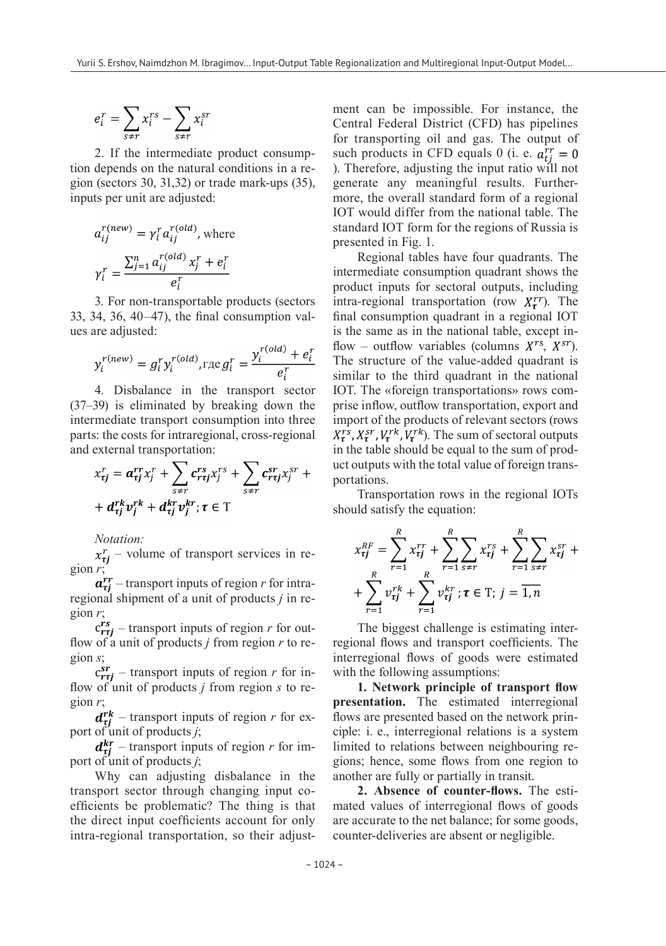$$
e_i^r = \sum_{s \neq r} x_i^{rs} - \sum_{s \neq r} x_i^{sr}
$$

2. If the intermediate product consumption depends on the natural conditions in a region (sectors 30, 31,32) or trade mark-ups (35), inputs per unit are adjusted:

$$
a_{ij}^{r(new)} = \gamma_i^r a_{ij}^{r(old)}, \text{ where}
$$

$$
\gamma_i^r = \frac{\sum_{j=1}^n a_{ij}^{r(old)} x_j^r + e_i^r}{e_i^r}
$$

3. For non-transportable products (sectors 33, 34, 36, 40–47), the final consumption values are adjusted:

$$
y_i^{r(new)} = g_i^r y_i^{r(old)}, \text{true } g_i^r = \frac{y_i^{r(old)} + e_i^r}{e_i^r}
$$

4. Disbalance in the transport sector (37–39) is eliminated by breaking down the intermediate transport consumption into three parts: the costs for intraregional, cross-regional and external transportation:

$$
x_{\tau j}^r = a_{\tau j}^{rr} x_j^r + \sum_{s \neq r} c_{\tau \tau j}^{rs} x_j^{rs} + \sum_{s \neq r} c_{\tau \tau j}^{sr} x_j^{sr} + d_{\tau j}^{rk} v_j^{rk} + d_{\tau j}^{kr} v_j^{kr}; \tau \in \mathcal{T}
$$

*Notation:*

 – volume of transport services in region *r*;

 $a_{\tau i}^{rr}$  – transport inputs of region *r* for intraregional shipment of a unit of products *j* in region *r*;

 $c_{\text{r7}}^{rs}$  – transport inputs of region *r* for outflow of a unit of products *j* from region *r* to region *s*;

 $c^{sr}_{rri}$  – transport inputs of region *r* for inflow of unit of products *j* from region *s* to region *r*;

 $d_{\tau i}^{rk}$  – transport inputs of region *r* for export of unit of products *j*;

 $d_{\tau i}^{kr}$  – transport inputs of region *r* for import of unit of products *j*;

Why can adjusting disbalance in the transport sector through changing input coefficients be problematic? The thing is that the direct input coefficients account for only intra-regional transportation, so their adjustment can be impossible. For instance, the Central Federal District (CFD) has pipelines for transporting oil and gas. The output of such products in CFD equals 0 (i. e.  $a_{tj}^{rr} = 0$ ). Therefore, adjusting the input ratio will not generate any meaningful results. Furthermore, the overall standard form of a regional IOT would differ from the national table. The standard IOT form for the regions of Russia is presented in Fig. 1.

Regional tables have four quadrants. The intermediate consumption quadrant shows the product inputs for sectoral outputs, including intra-regional transportation (row  $X^{rr}_{\tau}$ ). The final consumption quadrant in a regional IOT is the same as in the national table, except inflow – outflow variables (columns  $X^{rs}$ ,  $X^{sr}$ ). The structure of the value-added quadrant is similar to the third quadrant in the national IOT. The «foreign transportations» rows comprise inflow, outflow transportation, export and import of the products of relevant sectors (rows  $X^{rs}_{\tau}$ ,  $X^{sr}_{\tau}$ ,  $V^{rk}_{\tau}$ ,  $V^{rk}_{\tau}$ ). The sum of sectoral outputs in the table should be equal to the sum of product outputs with the total value of foreign transportations.

Transportation rows in the regional IOTs should satisfy the equation:

$$
x_{\tau j}^{RF} = \sum_{r=1}^{R} x_{\tau j}^{rr} + \sum_{r=1}^{R} \sum_{s \neq r} x_{\tau j}^{rs} + \sum_{r=1}^{R} \sum_{s \neq r} x_{\tau j}^{sr} + \sum_{r=1}^{R} v_{\tau j}^{rk} + \sum_{r=1}^{R} v_{\tau j}^{kr} + \sum_{r=1}^{R} v_{\tau j}^{kr} + \sum_{r=1}^{R} v_{\tau j}^{kr} + \sum_{r=1}^{R} v_{\tau j}^{kr} + \sum_{r=1}^{R} v_{\tau j}^{kr} + \sum_{r=1}^{R} v_{\tau j}^{kr} + \sum_{r=1}^{R} v_{\tau j}^{kr} + \sum_{r=1}^{R} v_{\tau j}^{kr} + \sum_{r=1}^{R} v_{\tau j}^{kr} + \sum_{r=1}^{R} v_{\tau j}^{kr} + \sum_{r=1}^{R} v_{\tau j}^{kr} + \sum_{r=1}^{R} v_{\tau j}^{kr} + \sum_{r=1}^{R} v_{\tau j}^{kr} + \sum_{r=1}^{R} v_{\tau j}^{kr} + \sum_{r=1}^{R} v_{\tau j}^{kr} + \sum_{r=1}^{R} v_{\tau j}^{kr} + \sum_{r=1}^{R} v_{\tau j}^{kr} + \sum_{r=1}^{R} v_{\tau j}^{kr} + \sum_{r=1}^{R} v_{\tau j}^{kr} + \sum_{r=1}^{R} v_{\tau j}^{kr} + \sum_{r=1}^{R} v_{\tau j}^{kr} + \sum_{r=1}^{R} v_{\tau j}^{kr} + \sum_{r=1}^{R} v_{\tau j}^{kr} + \sum_{r=1}^{R} v_{\tau j}^{kr} + \sum_{r=1}^{R} v_{\tau j}^{kr} + \sum_{r=1}^{R} v_{\tau j}^{kr} + \sum_{r=1}^{R} v_{\tau j}^{kr} + \sum_{r=1}^{R} v_{\tau j}^{kr} + \sum_{r=1}^{R} v_{\tau j}^{kr} + \sum_{r=1}^{R} v_{\tau j}^{kr} + \sum_{r=1}^{R} v_{\tau j}^{kr} + \sum_{r=1}^{R} v_{\tau j}^{kr} + \sum_{r=1}^{R} v
$$

The biggest challenge is estimating interregional flows and transport coefficients. The interregional flows of goods were estimated with the following assumptions:

**1. Network principle of transport flow presentation.** The estimated interregional flows are presented based on the network principle: i. e., interregional relations is a system limited to relations between neighbouring regions; hence, some flows from one region to another are fully or partially in transit.

**2. Absence of counter-flows.** The estimated values of interregional flows of goods are accurate to the net balance; for some goods, counter-deliveries are absent or negligible.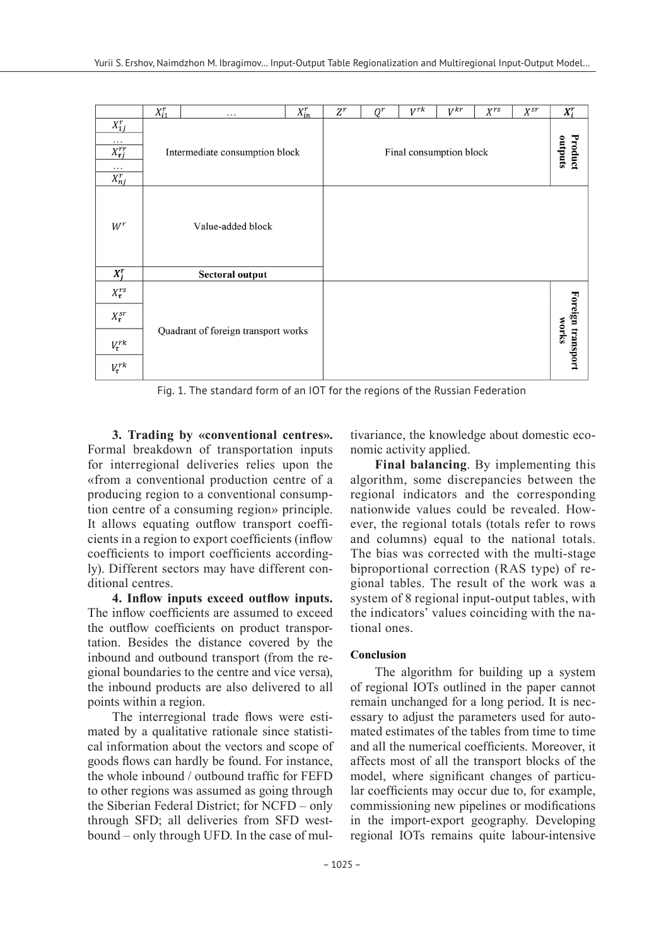|                                                                                  | $X_{i1}^r$                     | $\cdots$                            | $X_{in}^r$ | $Z^r$                   | $Q^r$ | $V^{rk}$ | $V^{kr}$ | $X^{rs}$ | $X^{sr}$                   | $X_i^r$                 |
|----------------------------------------------------------------------------------|--------------------------------|-------------------------------------|------------|-------------------------|-------|----------|----------|----------|----------------------------|-------------------------|
| $X_{1j}^r$<br>$\cdots$<br>$\overline{X_{\tau j}^{rr}}$<br>$\cdots$<br>$X_{nj}^r$ | Intermediate consumption block |                                     |            | Final consumption block |       |          |          |          |                            | ᠊ᢦ<br>sındıno<br>roduct |
| $W^r$                                                                            |                                | Value-added block                   |            |                         |       |          |          |          |                            |                         |
| $X_i^r$                                                                          | Sectoral output                |                                     |            |                         |       |          |          |          |                            |                         |
| $X^{rs}_{\tau}$                                                                  |                                |                                     |            |                         |       |          |          |          |                            |                         |
| $X^{sr}_{\tau}$                                                                  |                                |                                     |            |                         |       |          |          |          |                            |                         |
| $V^{rk}_t$                                                                       |                                | Quadrant of foreign transport works |            |                         |       |          |          |          | Foreign transport<br>works |                         |
| $V^{rk}_\tau$                                                                    |                                |                                     |            |                         |       |          |          |          |                            |                         |

Fig. 1. The standard form of an IOT for the regions of the Russian Federation

**3. Trading by «conventional centres».**  Formal breakdown of transportation inputs for interregional deliveries relies upon the «from a conventional production centre of a producing region to a conventional consumption centre of a consuming region» principle. It allows equating outflow transport coefficients in a region to export coefficients (inflow coefficients to import coefficients accordingly). Different sectors may have different conditional centres.

**4. Inflow inputs exceed outflow inputs.**  The inflow coefficients are assumed to exceed the outflow coefficients on product transportation. Besides the distance covered by the inbound and outbound transport (from the regional boundaries to the centre and vice versa), the inbound products are also delivered to all points within a region.

The interregional trade flows were estimated by a qualitative rationale since statistical information about the vectors and scope of goods flows can hardly be found. For instance, the whole inbound / outbound traffic for FEFD to other regions was assumed as going through the Siberian Federal District; for NCFD – only through SFD; all deliveries from SFD westbound – only through UFD. In the case of multivariance, the knowledge about domestic economic activity applied.

**Final balancing**. By implementing this algorithm, some discrepancies between the regional indicators and the corresponding nationwide values could be revealed. However, the regional totals (totals refer to rows and columns) equal to the national totals. The bias was corrected with the multi-stage biproportional correction (RAS type) of regional tables. The result of the work was a system of 8 regional input-output tables, with the indicators' values coinciding with the national ones.

### **Conclusion**

The algorithm for building up a system of regional IOTs outlined in the paper cannot remain unchanged for a long period. It is necessary to adjust the parameters used for automated estimates of the tables from time to time and all the numerical coefficients. Moreover, it affects most of all the transport blocks of the model, where significant changes of particular coefficients may occur due to, for example, commissioning new pipelines or modifications in the import-export geography. Developing regional IOTs remains quite labour-intensive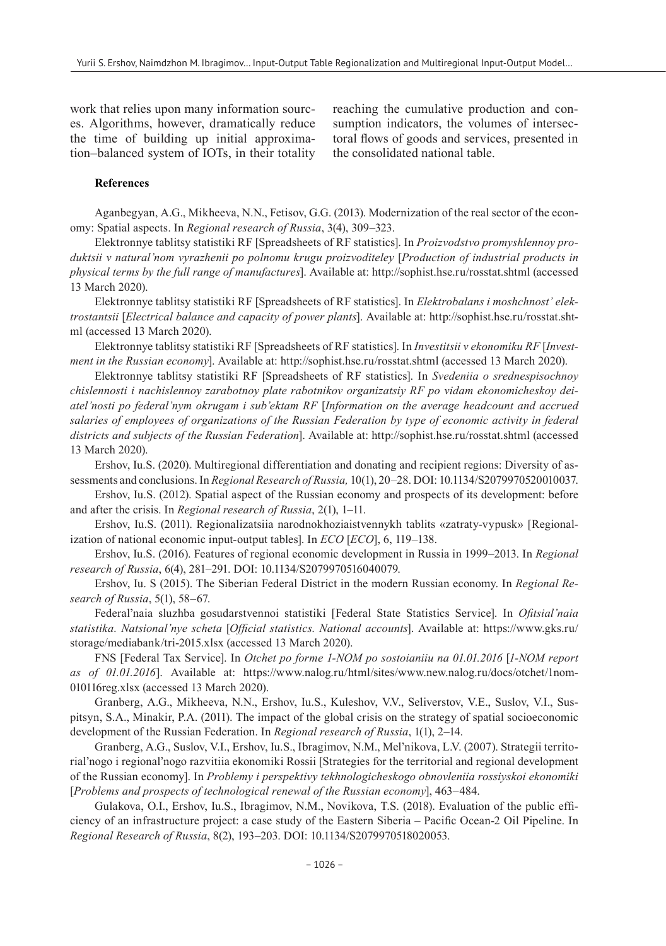work that relies upon many information sources. Algorithms, however, dramatically reduce the time of building up initial approximation–balanced system of IOTs, in their totality reaching the cumulative production and consumption indicators, the volumes of intersectoral flows of goods and services, presented in the consolidated national table.

### **References**

Aganbegyan, A.G., Mikheeva, N.N., Fetisov, G.G. (2013). Modernization of the real sector of the economy: Spatial aspects. In *Regional research of Russia*, 3(4), 309–323.

Elektronnye tablitsy statistiki RF [Spreadsheets of RF statistics]. In *Proizvodstvo promyshlennoy produktsii v natural'nom vyrazhenii po polnomu krugu proizvoditeley* [*Production of industrial products in physical terms by the full range of manufactures*]. Available at: http://sophist.hse.ru/rosstat.shtml (accessed 13 March 2020).

Elektronnye tablitsy statistiki RF [Spreadsheets of RF statistics]. In *Elektrobalans i moshchnost' elektrostantsii* [*Electrical balance and capacity of power plants*]. Available at: http://sophist.hse.ru/rosstat.shtml (accessed 13 March 2020).

Elektronnye tablitsy statistiki RF [Spreadsheets of RF statistics]. In *Investitsii v ekonomiku RF* [*Investment in the Russian economy*]. Available at: http://sophist.hse.ru/rosstat.shtml (accessed 13 March 2020).

Elektronnye tablitsy statistiki RF [Spreadsheets of RF statistics]. In *Svedeniia o srednespisochnoy chislennosti i nachislennoy zarabotnoy plate rabotnikov organizatsiy RF po vidam ekonomicheskoy deiatel'nosti po federal'nym okrugam i sub'ektam RF* [*Information on the average headcount and accrued salaries of employees of organizations of the Russian Federation by type of economic activity in federal districts and subjects of the Russian Federation*]. Available at: http://sophist.hse.ru/rosstat.shtml (accessed 13 March 2020).

Ershov, Iu.S. (2020). Multiregional differentiation and donating and recipient regions: Diversity of assessments and conclusions. In *Regional Research of Russia,* 10(1), 20–28. DOI: 10.1134/S2079970520010037.

Ershov, Iu.S. (2012). Spatial aspect of the Russian economy and prospects of its development: before and after the crisis. In *Regional research of Russia*, 2(1), 1–11.

Ershov, Iu.S. (2011). Regionalizatsiia narodnokhoziaistvennykh tablits «zatraty-vypusk» [Regionalization of national economic input-output tables]. In *ECO* [*ECO*], 6, 119–138.

Ershov, Iu.S. (2016). Features of regional economic development in Russia in 1999–2013. In *Regional research of Russia*, 6(4), 281–291. DOI: 10.1134/S2079970516040079.

Ershov, Iu. S (2015). The Siberian Federal District in the modern Russian economy. In *Regional Research of Russia*, 5(1), 58–67.

Federal'naia sluzhba gosudarstvennoi statistiki [Federal State Statistics Service]. In *Ofitsial'naia statistika. Natsional'nye scheta* [*Official statistics. National accounts*]. Available at: https://www.gks.ru/ storage/mediabank/tri-2015.xlsx (accessed 13 March 2020).

FNS [Federal Tax Service]. In *Otchet po forme 1-NOM po sostoianiiu na 01.01.2016* [*1-NOM report as of 01.01.2016*]. Available at: https://www.nalog.ru/html/sites/www.new.nalog.ru/docs/otchet/1nom-010116reg.xlsx (accessed 13 March 2020).

Granberg, A.G., Mikheeva, N.N., Ershov, Iu.S., Kuleshov, V.V., Seliverstov, V.E., Suslov, V.I., Suspitsyn, S.A., Minakir, P.A. (2011). The impact of the global crisis on the strategy of spatial socioeconomic development of the Russian Federation. In *Regional research of Russia*, 1(1), 2–14.

Granberg, A.G., Suslov, V.I., Ershov, Iu.S., Ibragimov, N.M., Mel'nikova, L.V. (2007). Strategii territorial'nogo i regional'nogo razvitiia ekonomiki Rossii [Strategies for the territorial and regional development of the Russian economy]. In *Problemy i perspektivy tekhnologicheskogo obnovleniia rossiyskoi ekonomiki* [*Problems and prospects of technological renewal of the Russian economy*], 463–484.

Gulakova, O.I., Ershov, Iu.S., Ibragimov, N.M., Novikova, T.S. (2018). Evaluation of the public efficiency of an infrastructure project: a case study of the Eastern Siberia – Pacific Ocean-2 Oil Pipeline. In *Regional Research of Russia*, 8(2), 193–203. DOI: 10.1134/S2079970518020053.